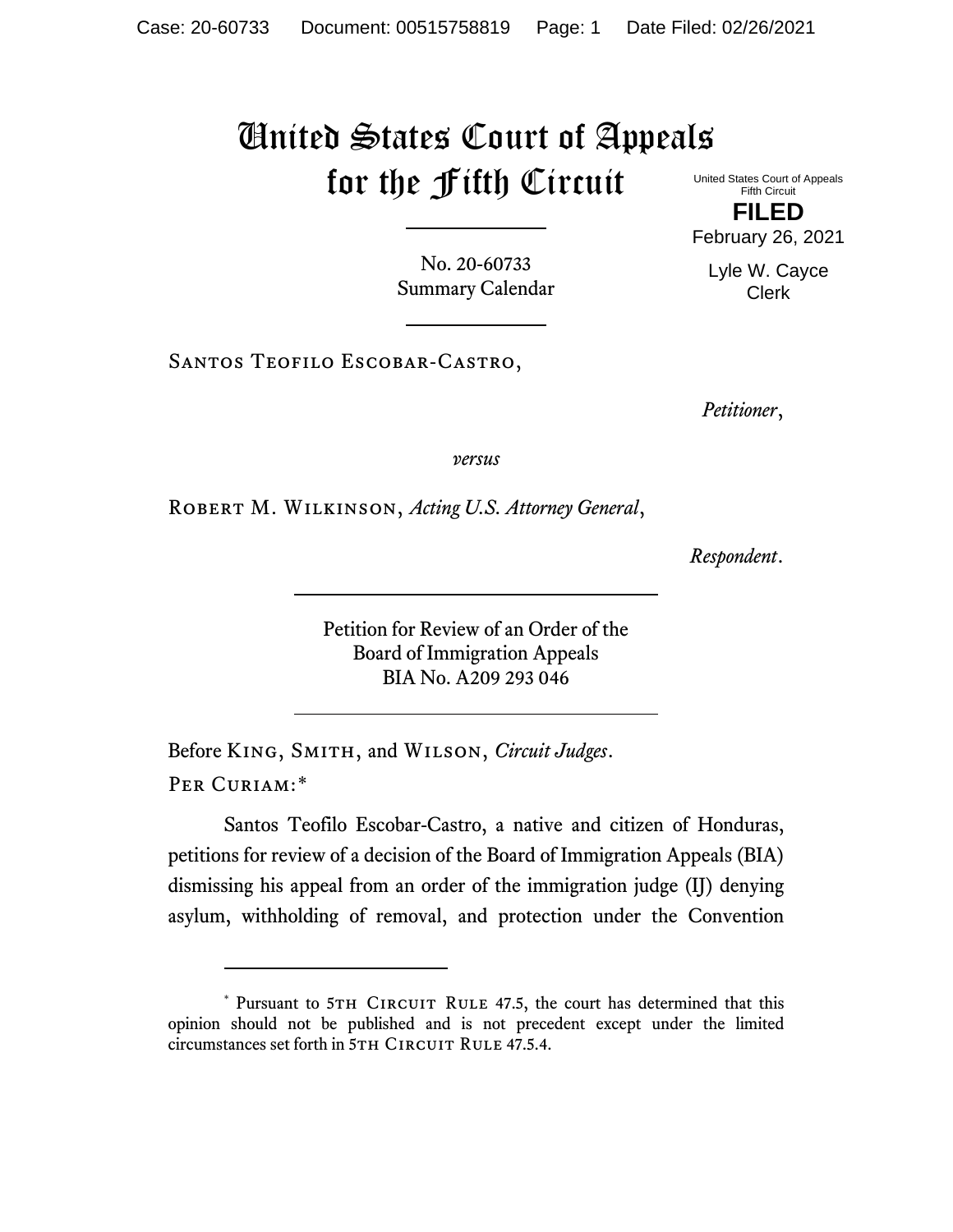## United States Court of Appeals for the Fifth Circuit

United States Court of Appeals Fifth Circuit **FILED** February 26, 2021

Lyle W. Cayce Clerk

No. 20-60733 Summary Calendar

Santos Teofilo Escobar-Castro,

*Petitioner*,

*versus*

Robert M. Wilkinson, *Acting U.S. Attorney General*,

*Respondent*.

Petition for Review of an Order of the Board of Immigration Appeals BIA No. A209 293 046

Before King, Smith, and Wilson, *Circuit Judges*. Per Curiam:[\\*](#page-0-0)

Santos Teofilo Escobar-Castro, a native and citizen of Honduras, petitions for review of a decision of the Board of Immigration Appeals (BIA) dismissing his appeal from an order of the immigration judge (IJ) denying asylum, withholding of removal, and protection under the Convention

<span id="page-0-0"></span><sup>\*</sup> Pursuant to 5TH CIRCUIT RULE 47.5, the court has determined that this opinion should not be published and is not precedent except under the limited circumstances set forth in 5TH CIRCUIT RULE 47.5.4.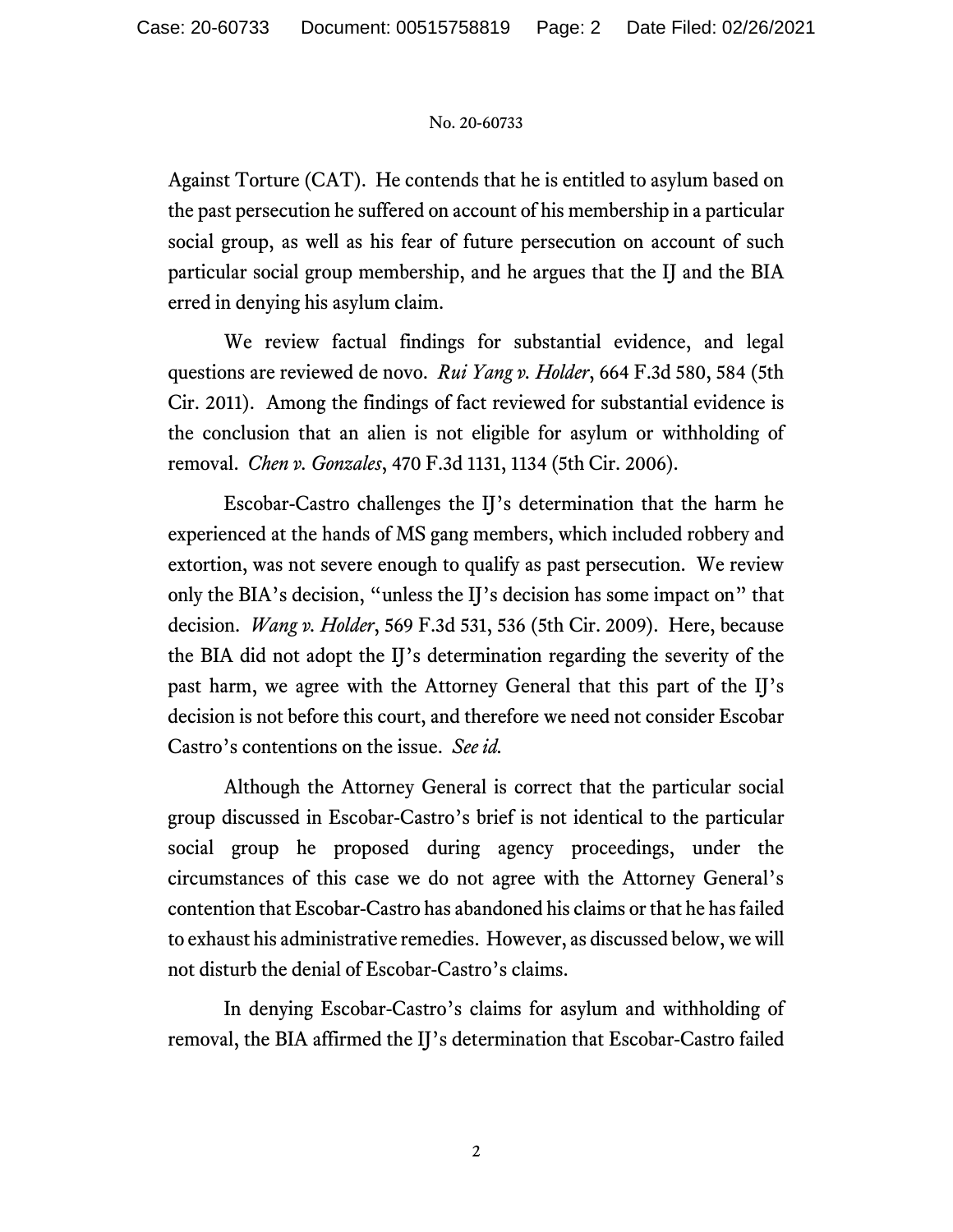## No. 20-60733

Against Torture (CAT). He contends that he is entitled to asylum based on the past persecution he suffered on account of his membership in a particular social group, as well as his fear of future persecution on account of such particular social group membership, and he argues that the IJ and the BIA erred in denying his asylum claim.

We review factual findings for substantial evidence, and legal questions are reviewed de novo. *Rui Yang v. Holder*, 664 F.3d 580, 584 (5th Cir. 2011). Among the findings of fact reviewed for substantial evidence is the conclusion that an alien is not eligible for asylum or withholding of removal. *Chen v. Gonzales*, 470 F.3d 1131, 1134 (5th Cir. 2006).

Escobar-Castro challenges the IJ's determination that the harm he experienced at the hands of MS gang members, which included robbery and extortion, was not severe enough to qualify as past persecution. We review only the BIA's decision, "unless the IJ's decision has some impact on" that decision. *Wang v. Holder*, 569 F.3d 531, 536 (5th Cir. 2009). Here, because the BIA did not adopt the IJ's determination regarding the severity of the past harm, we agree with the Attorney General that this part of the IJ's decision is not before this court, and therefore we need not consider Escobar Castro's contentions on the issue. *See id.*

Although the Attorney General is correct that the particular social group discussed in Escobar-Castro's brief is not identical to the particular social group he proposed during agency proceedings, under the circumstances of this case we do not agree with the Attorney General's contention that Escobar-Castro has abandoned his claims or that he has failed to exhaust his administrative remedies. However, as discussed below, we will not disturb the denial of Escobar-Castro's claims.

In denying Escobar-Castro's claims for asylum and withholding of removal, the BIA affirmed the IJ's determination that Escobar-Castro failed